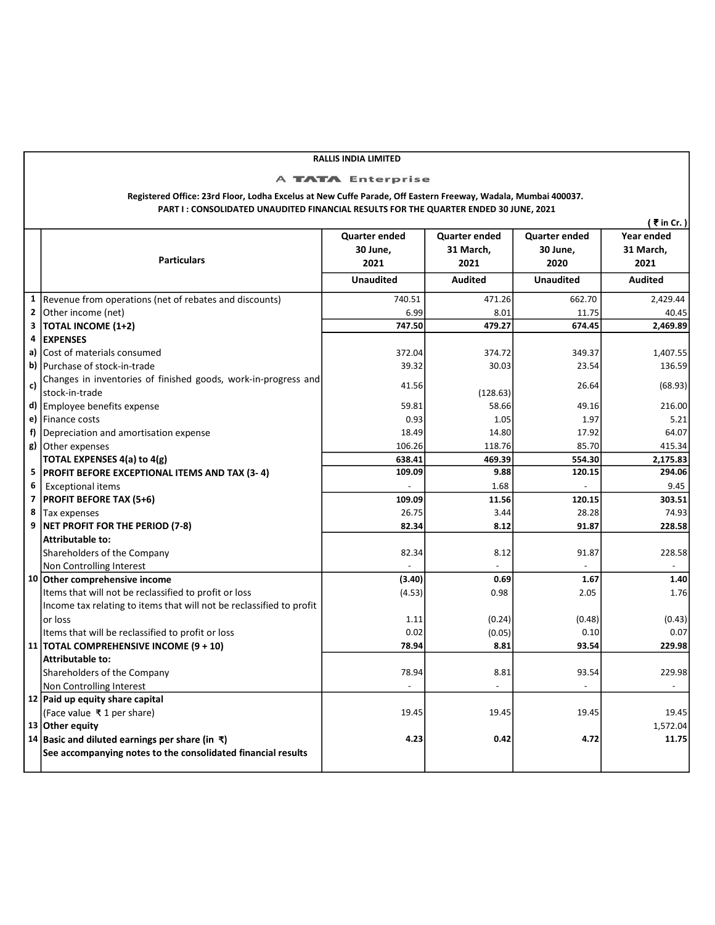## RALLIS INDIA LIMITED

## A TATA Enterprise

## Registered Office: 23rd Floor, Lodha Excelus at New Cuffe Parade, Off Eastern Freeway, Wadala, Mumbai 400037. PART I : CONSOLIDATED UNAUDITED FINANCIAL RESULTS FOR THE QUARTER ENDED 30 JUNE, 2021

|                         |                                                                      |                      |                |                      | ( ₹ in Cr. )   |
|-------------------------|----------------------------------------------------------------------|----------------------|----------------|----------------------|----------------|
|                         |                                                                      | <b>Quarter ended</b> | Quarter ended  | <b>Quarter ended</b> | Year ended     |
|                         |                                                                      | 30 June,             | 31 March,      | 30 June,             | 31 March,      |
|                         | <b>Particulars</b>                                                   | 2021                 | 2021           | 2020                 | 2021           |
|                         |                                                                      | <b>Unaudited</b>     | <b>Audited</b> | <b>Unaudited</b>     | <b>Audited</b> |
| $\mathbf{1}$            | Revenue from operations (net of rebates and discounts)               | 740.51               | 471.26         | 662.70               | 2,429.44       |
| $\mathbf{2}$            | Other income (net)                                                   | 6.99                 | 8.01           | 11.75                | 40.45          |
| $\overline{\mathbf{3}}$ | <b>TOTAL INCOME (1+2)</b>                                            | 747.50               | 479.27         | 674.45               | 2,469.89       |
| 4                       | <b>EXPENSES</b>                                                      |                      |                |                      |                |
| a)                      | lCost of materials consumed                                          | 372.04               | 374.72         | 349.37               | 1,407.55       |
| b)                      | Purchase of stock-in-trade                                           | 39.32                | 30.03          | 23.54                | 136.59         |
| c)                      | Changes in inventories of finished goods, work-in-progress and       | 41.56                |                | 26.64                |                |
|                         | stock-in-trade                                                       |                      | (128.63)       |                      | (68.93)        |
| d)                      | Employee benefits expense                                            | 59.81                | 58.66          | 49.16                | 216.00         |
| e)                      | Finance costs                                                        | 0.93                 | 1.05           | 1.97                 | 5.21           |
| f)                      | Depreciation and amortisation expense                                | 18.49                | 14.80          | 17.92                | 64.07          |
| g)                      | Other expenses                                                       | 106.26               | 118.76         | 85.70                | 415.34         |
|                         | TOTAL EXPENSES 4(a) to 4(g)                                          | 638.41               | 469.39         | 554.30               | 2,175.83       |
| 5                       | <b>PROFIT BEFORE EXCEPTIONAL ITEMS AND TAX (3-4)</b>                 | 109.09               | 9.88           | 120.15               | 294.06         |
| 6                       | <b>Exceptional items</b>                                             |                      | 1.68           |                      | 9.45           |
| $\overline{\mathbf{z}}$ | <b>PROFIT BEFORE TAX (5+6)</b>                                       | 109.09               | 11.56          | 120.15               | 303.51         |
| 8                       | Tax expenses                                                         | 26.75                | 3.44           | 28.28                | 74.93          |
| 9                       | NET PROFIT FOR THE PERIOD (7-8)                                      | 82.34                | 8.12           | 91.87                | 228.58         |
|                         | <b>Attributable to:</b>                                              |                      |                |                      |                |
|                         | Shareholders of the Company                                          | 82.34                | 8.12           | 91.87                | 228.58         |
|                         | Non Controlling Interest                                             |                      |                |                      |                |
|                         | 10 Other comprehensive income                                        | (3.40)               | 0.69           | 1.67                 | 1.40           |
|                         | Items that will not be reclassified to profit or loss                | (4.53)               | 0.98           | 2.05                 | 1.76           |
|                         | Income tax relating to items that will not be reclassified to profit |                      |                |                      |                |
|                         | or loss                                                              | 1.11                 | (0.24)         | (0.48)               | (0.43)         |
|                         | Items that will be reclassified to profit or loss                    | 0.02                 | (0.05)         | 0.10                 | 0.07           |
|                         | 11   TOTAL COMPREHENSIVE INCOME (9 + 10)                             | 78.94                | 8.81           | 93.54                | 229.98         |
|                         | <b>Attributable to:</b>                                              |                      |                |                      |                |
|                         | Shareholders of the Company                                          | 78.94                | 8.81           | 93.54                | 229.98         |
|                         | Non Controlling Interest                                             |                      |                |                      |                |
|                         | 12 Paid up equity share capital                                      |                      |                |                      |                |
|                         | (Face value ₹1 per share)                                            | 19.45                | 19.45          | 19.45                | 19.45          |
|                         | 13 Other equity                                                      |                      |                |                      | 1,572.04       |
|                         | 14 Basic and diluted earnings per share (in ₹)                       | 4.23                 | 0.42           | 4.72                 | 11.75          |
|                         | See accompanying notes to the consolidated financial results         |                      |                |                      |                |
|                         |                                                                      |                      |                |                      |                |